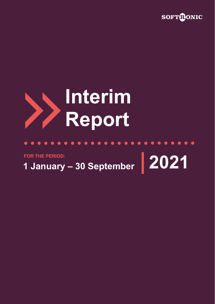

 $\bullet\hspace{0.2cm} \bullet\hspace{0.2cm} \bullet\hspace{0.2cm} \bullet\hspace{0.2cm} \bullet\hspace{0.2cm} \bullet\hspace{0.2cm} \bullet\hspace{0.2cm} \bullet$ 

## **Interim Report**

# **1 January – 30 September 2021 FOR THE PERIOD:**

**CONTRACT** 

 $\bullet$  $\bullet$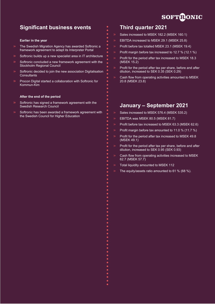

## **Significant business events**

#### **Earlier in the year**

- The Swedish Migration Agency has awarded Softronic a framework agreement to adapt its Interpreter Portal
- Softronic builds up a new specialist area in IT architecture
- Softronic concluded a new framework agreement with the Stockholm Regional Council
- Softronic decided to join the new association Digitalisation **Consultants**
- Procon Digital started a collaboration with Softronic for Kommun-Kim

#### **After the end of the period**

- Softronic has signed a framework agreement with the Swedish Research Council
- Softronic has been awarded a framework agreement with the Swedish Council for Higher Education

## **Third quarter 2021**

- Sales increased to MSEK 182.2 (MSEK 160.1)
- $\overline{\mathbf{S}}$ EBITDA increased to MSEK 29.1 (MSEK 25.8)
- Profit before tax totalled MSEK 23.1 (MSEK 19.4)
- $\overline{\mathbf{S}}$ Profit margin before tax increased to 12.7 % (12.1 %)
- Profit for the period after tax increased to MSEK 18.3 (MSEK 15.2)
- $\overline{\mathbf{S}}$ Profit for the period after tax per share, before and after dilution, increased to SEK 0.35 (SEK 0.29)
- Cash flow from operating activities amounted to MSEK 20.8 (MSEK 23.8)

## **January – September 2021**

- Sales increased to MSEK 576.4 (MSEK 535.2)
- EBITDA was MSEK 80.5 (MSEK 81.7)
- Profit before tax increased to MSEK 63.3 (MSEK 62.6)
- Profit margin before tax amounted to 11.0 % (11.7 %)
- Profit for the period after tax increased to MSEK 49.8 (MSEK 49.1)
- Profit for the period after tax per share, before and after dilution, increased to SEK 0.95 (SEK 0.93)
- Cash flow from operating activities increased to MSEK 62.7 (MSEK 57.7)
- Total liquidity amounted to MSEK 112
- The equity/assets ratio amounted to 61 % (68 %).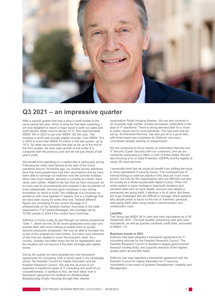

## **Q3 2021 – an impressive quarter**

After a second quarter that saw a drop in profit similar to the same period last year, which is what we had been expecting, I am now delighted to report a major boost to both our sales and profit figures. Sales rose by almost 14 %, from approximately MSEK 160 in 2020 to just over MSEK 182 this year. The increase in profit was actually slightly stronger, from MSEK 19.4 in 2020 to more than MSEK 23 million in the last quarter, up by 19 %. So when we summarise the year so far up to the end of the third quarter, we have seen growth of just under 8 % compared with the previous year and we are just ahead of last year's profit.

We benefit from operating on a market that is particularly strong. Following the initial, brief decline at the start of the Covid pandemic around 18 months ago, our market quickly stabilised. Now that most people have had their vaccinations and we have been able to recharge our batteries over the summer holidays, which was much needed, demand is currently at a level I have rarely seen before. Added to the fact that we have improved our success rate for procurements and invested in the recruitment of more salespeople, we have given ourselves a very strong foundation on which to build. The challenge is to increase our workforce with more talented IT experts; this is a challenge that we have been facing for some time now. Several different figures are circulating for the current shortage of IT professionals on the Swedish market. According to the trade organisation IT & Telekomföretagen, this shortage will be 70,000 people in 2024 if the current trend continues.

Softronic is trying to play its part through our trainee programme 'Gate 1', where we hire 20-30 recent graduates every year and provide them with more training to enable them to quickly become productive employees. We may be able to increase the scope of this programme even further, but many more initiatives of this kind are needed to cover the long-term need. As a country, Sweden has fallen down the list for digitalisation and the situation will not improve if the skills shortage gets rapidly worse.

During the quarter we were awarded two new framework agreements for consulting, both of which were in the knowledge sector: the Swedish Council for Higher Education and the Swedish Research Council. We see this as proof of our expertise in significant areas of IT consulting and proof of our competitiveness. In addition to this, we have taken over a framework agreement for chatbots for Allmännyttiga Bostadsbolag (Public Housing) through their interest

organisation Public Housing Sweden. We are also involved in an unusually high number of sales processes, particularly in the area of IT operations. There is strong demand both for a move to public clouds and for local deliveries. The new area that we set up, Architectural Services, has also got off to a good start, with three brand new customers for Softronic and many consultants already working on assignments!

We are continuing to focus heavily on Information Security and IT Security (Cyber Security) with our customers, and we are constantly expanding our offers in both of these areas. We are also focusing a lot on Data Protection (GDPR) and the legality of using US cloud services.

I personally think that we would all benefit from shifting the focus to more specialised IT security issues. The consequences of internal failings or external attacks in this area are much more severe, not only for the organisations who are affected, but also for society as a whole (sustainable digital society). When the entire system is taken hostage in blackmail situations and sensitive data such as bank details, account card details or passwords are going adrift, it destroys a lot of value. But these are huge challenges that are difficult to manage, which explains why people prefer to focus on the risk of 'harmless' personal data going adrift when using modern communication and collaboration tools.

#### **Liquidity**

The Group had MSEK 89 in cash and cash equivalents as of 30 September 2021. The total liquidity comprising cash and cash equivalents, as well as granted unutilised credit lines, amounted to MSEK 112.

#### **Business events in 2021**

Softronic has been awarded a framework agreement for IT consulting services for the Swedish Research Council. The Swedish Research Council is Sweden's largest governmental research funding body, and supports research of the highest quality within all scientific fields.

Softronic has been awarded a framework agreement with the Swedish Council for Higher Education for IT resource consultants in the areas of Systems Development, Usability and Management.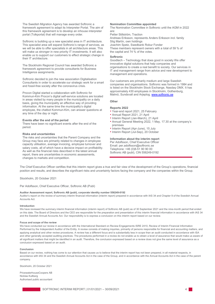The Swedish Migration Agency has awarded Softronic a framework agreement to adapt its Interpreter Portal. The aim of this framework agreement is to develop an inhouse interpreter portal (Tolkportal) that will manage every order.

Softronic is building up a new specialist area in IT architecture. This specialist area will expand Softronic's range of services, as we will be able to offer specialists in all architecture areas. This will make us stronger in new priority IT investments. It will also enable us to support our customers to effect strategic change in their IT architecture.

The Stockholm Regional Council has awarded Softronic a framework agreement to provide consultants for Business Intelligence assignments.

Softronic decided to join the new association Digitalisation Consultants in order to accelerate our strategic work for a smart and fossil-free society after the coronavirus crisis.

Procon Digital started a collaboration with Softronic for Kommun-Kim Procon's digital self-service solutions are located in areas visited by many people in the municipality on a daily basis, giving the municipality an effective way of providing information. At the same time the municipality's digital employee, the chatbot Kommun-Kim, can answer questions at any time of the day or night.

#### **Events after the end of the period**

There have been no significant events after the end of the period.

#### **Risks and uncertainties**

The risks and uncertainties that the Parent Company and the Group may face are primarily related to changes in employee capacity utilisation, average invoicing, employee turnover and salary costs, all of which have a decisive impact on profitability. As well as the financial risks described in the latest annual report, there are uncertainties in economic assessments, changes to markets and competition.

#### **Nomination Committee appointed**

The Nomination Committee in Softronic until the AGM in 2022 are:

Petter Stillström, Traction Andreas Eriksson, represents Anders Eriksson incl. family Stig Martín, own holdings Joachim Spetz, Swedbank Robur Fonder These members represent owners with a total of 59 % of the capital and 74 % of the votes.

#### **Softronic**

Goodtech – Technology that does good in society We offer innovative digital solutions that help companies and organisations to create a real benefit to society. Our services in IT and management range from advice and new development to management and operations.

Our customers are primarily medium and large Swedish companies and organisations. Softronic was formed in 1984 and is listed on the Stockholm Stock Exchange, Nasdaq OMX. It has approximately 430 employees in Stockholm, Gothenburg, Malmö, Sundsvall and Arjeplog[. www.softronic.se](http://www.softronic.se/)

#### **Other**

#### **Reports 2022**

- Year-end report 2021, 25 February
- Annual Report 2021, 21 April
- Interim Report (Jan-March), 21 April
- Annual General Meeting 2022, 1 May, 17.30 at the company's premises
- Interim Report (Apr-June), 15 July
- Interim Report (Jul-Sep), 20 October

#### **Information about the interim report**  Per Adolfsson, Chief Executive Officer Email[: per](mailto:per.adolfsson@softronic.se)[.adolfsson@softronic.se](mailto:.adolfsson@softronic.se)

Telephone: +46 (0)8-51 90 90 00 Softronic AB (publ), CIN 556249-0192

The Chief Executive Officer certifies that this interim report gives a true and fair view of the development of the Group's operations, financial position and results, and describes the significant risks and uncertainty factors facing the company and the companies within the Group.

Stockholm, 20 October 2021

Per Adolfsson, Chief Executive Officer, Softronic AB (Publ)

#### **Auditor Assessment report, Softronic AB (publ), corporate identity number 556249-0192**

Auditor's report on the review of summary interim financial information (interim report) prepared in accordance with IAS 34 and Chapter 9 of the Swedish Annual Accounts Act.

#### **Introduction**

We have reviewed the summary interim financial information (interim report) of Softronic AB (publ) as of 30 September 2021 and the nine-month period that ended on this date. The Board of Directors and the CEO are responsible for the preparation and presentation of this interim financial information in accordance with IAS 34 and the Swedish Annual Accounts Act. Our responsibility is to express a conclusion on this interim report based on our review.

#### **Focus and scope of the review**

We have conducted our review in accordance with the International Standard on Review Engagements ISRE 2410, Review of Interim Financial Information Performed by the Independent Auditor of the Entity. A review consists of making inquiries, primarily of persons responsible for financial and accounting matters, and applying analytical and other review procedures. A review has a different focus and is substantially less in scope than an audit conducted in accordance with ISA and other generally accepted auditing practices. The procedures performed in a review do not enable us to obtain a level of assurance that would make us aware of all significant matters that might be identified in an audit. Therefore, the conclusion expressed based on a review does not give the same level of assurance as a conclusion expressed based on an audit.

#### **Conclusion**

Based on our review, nothing has come to our attention that causes us to believe that the interim report has not been prepared, in all material respects, in accordance with IAS 34 and the Swedish Annual Accounts Act in the case of the Group, and in accordance with the Annual Accounts Act in the case of the parent company.

Stockholm, 20 October 2021

PricewaterhouseCoopers AB Nicklas Kullberg Authorised public accountant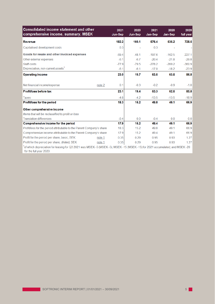| <b>Consolidated income statement and other</b><br>comprehensive income, summary, MSEK                                                                             | 2021<br>Jun-Sep | 2020<br>Jun-Sep | 2021<br>Jan-Sep | 2020<br>Jan-Sep | 2020<br>full year |
|-------------------------------------------------------------------------------------------------------------------------------------------------------------------|-----------------|-----------------|-----------------|-----------------|-------------------|
| Revenue                                                                                                                                                           | 182.2           | 160.1           | 576.4           | 535.2           | 728.5             |
| Capitalised development costs                                                                                                                                     | 0.3             |                 | 0.3             |                 |                   |
| Goods for resale and other invoiced expenses                                                                                                                      | $-69.4$         | $-48.1$         | $-197.6$        | $-162.5$        | $-227.1$          |
| Other external expenses                                                                                                                                           | $-6.1$          | $-6.7$          | $-20.4$         | $-21.8$         | $-29.8$           |
| Staff costs                                                                                                                                                       | $-77.9$         | $-79.5$         | $-278.2$        | $-269.2$        | $-360.9$          |
| Depreciation, non-current assets <sup>1</sup>                                                                                                                     | $-6.1$          | $-6.1$          | $-17.0$         | $-18.2$         | $-23.9$           |
| <b>Operating income</b>                                                                                                                                           | 23.0            | 19.7            | 63.5            | 63.5            | 86.8              |
| Net financial income/expense<br>note 2                                                                                                                            | 0.1             | $-0.3$          | $-0.2$          | $-0.9$          | $-1.0$            |
| Profit/loss before tax                                                                                                                                            | 23.1            | 19.4            | 63.3            | 62.6            | 85.8              |
| Taxes                                                                                                                                                             | $-4.8$          | $-4.2$          | $-13.5$         | $-13.5$         | $-18.9$           |
| Profit/loss for the period                                                                                                                                        | 18.3            | 15.2            | 49.8            | 49.1            | 66.9              |
| Other comprehensive income                                                                                                                                        |                 |                 |                 |                 |                   |
| Items that will be reclassified to profit or loss                                                                                                                 |                 |                 |                 |                 |                   |
| <b>Translation differences</b>                                                                                                                                    | $-0.4$          | 0 <sub>0</sub>  | $-0.4$          | 0 <sub>0</sub>  | 0.0               |
| Comprehensive income for the period                                                                                                                               | 17.9            | 15.2            | 49.4            | 49.1            | 66.9              |
| Profit/loss for the period attributable to the Parent Company's share                                                                                             | 18.3            | 15.2            | 49.8            | 49.1            | 66.9              |
| Comprehensive income attributable to the Parent Company's share                                                                                                   |                 | 15.2            | 49.4            | 49.1            | 66.9              |
| Profit for the period per share, basic, SEK<br>note 1                                                                                                             | 0.35            | 0.29            | 0.95            | 0.93            | 1.27              |
| Profit for the period per share, diluted, SEK<br>note 1                                                                                                           | 0.35            | 0.29            | 0.95            | 0.93            | 1.27              |
| of which depreciation for leasing for Q3 2021 was MSEK -5 (MSEK -5); MSEK -15 (MSEK -15) for 2021 accumulated; and MSEK -20 $^{\circ}$<br>for the full year 2020. |                 |                 |                 |                 |                   |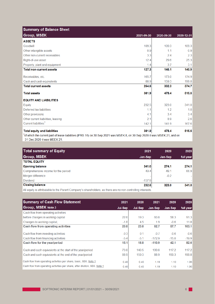| <b>Summary of Balance Sheet</b>     |            |            |            |
|-------------------------------------|------------|------------|------------|
| <b>Group, MSEK</b>                  | 2021-09-30 | 2020-09-30 | 2020-12-31 |
| <b>ASSETS</b>                       |            |            |            |
| Goodwill                            | 109.3      | 109.3      | 109.3      |
| Other intangible assets             | 0.9        | 1.1        | 0.9        |
| Other non-current receivables       | 3.3        | 24         | 2.3        |
| Right-of-use asset                  | 12.4       | 29.6       | 25.3       |
| Property, plant and equipment       | 1.4        | 3.7        | 3.1        |
| <b>Total non-current assets</b>     | 127.3      | 146.1      | 140.9      |
| Receivables, etc.                   | 165.7      | 173.0      | 174.9      |
| Cash and cash equivalents           | 88.9       | 159.3      | 199.8      |
| <b>Total current assets</b>         | 254.6      | 332.3      | 374.7      |
| <b>Total assets</b>                 | 381.9      | 478.4      | 515.6      |
| <b>EQUITY AND LIABILITIES</b>       |            |            |            |
| Equity                              | 232.5      | 323.0      | 341.0      |
| Deferred tax liabilities            | 1.1        | 1.2        | 1.0        |
| Other provisions                    | 4.1        | 3.4        | 3.4        |
| Other current liabilities, leasing  | 2.1        | 8.9        | 2.6        |
| Current liabilities <sup>1</sup>    | 142.1      | 141.9      | 167.6      |
| <b>Total equity and liabilities</b> | 381.9      | 478.4      | 515.6      |

<sup>1</sup> of which the current part of lease liabilities (IFRS 16) on 30 Sep 2021 was MSEK 8, on 30 Sep 2020 it was MSEK 21, and on 31 Dec 2020 it was MSEK 21.

| <b>Total summary of Equity</b>                                                                             | 2021     | 2020                     | 2020      |
|------------------------------------------------------------------------------------------------------------|----------|--------------------------|-----------|
| <b>Group, MSEK</b>                                                                                         | Jan-Sep  | Jan-Sep                  | full year |
| <b>TOTAL EQUITY</b>                                                                                        |          |                          |           |
| <b>Opening balance</b>                                                                                     | 341.0    | 274.1                    | 274.1     |
| Comprehensive income for the period                                                                        | 49.4     | 49.1                     | 66.9      |
| Merger difference                                                                                          |          | $-0.2$                   |           |
| <b>Dividend</b>                                                                                            | $-157.9$ | $\overline{\phantom{a}}$ |           |
| <b>Closing balance</b>                                                                                     | 232.5    | 323.0                    | 341.0     |
| All equity is attributable to the Parent Company's shareholders, as there are no non-controlling interests |          |                          |           |

All equity is attributable to the Parent Company's shareholders, as there are no non-controlling interests.

| <b>Summary of Cash Flow Statement</b>                                      | 2021    | 2020    | 2021     | 2020    | 2020      |
|----------------------------------------------------------------------------|---------|---------|----------|---------|-----------|
| Group, MSEK Note 3                                                         | Jul-Sep | Jul-Sep | Jan-Sep  | Jan-Sep | full year |
| Cash flow from operating activities                                        |         |         |          |         |           |
| before changes in working capital                                          | 22.6    | 19.3    | 60.8     | 58.3    | 91.3      |
| Changes to working capital.                                                | $-1.8$  | 4.5     | 1.9      | $-0.6$  | 11.8      |
| <b>Cash flow from operating activities</b>                                 | 20.8    | 23.8    | 62.7     | 57.7    | 103.1     |
| Cash flow from investing activities                                        | $-0.3$  | 0.1     | $-0.7$   | $-0.6$  | $-0.6$    |
| Cash flow from financing activities                                        | $-5.4$  | $-5.1$  | $-172.9$ | $-15.0$ | $-19.9$   |
| Cash flow for the year/period                                              | 15.1    | 18.8    | $-110.9$ | 42.1    | 82.6      |
| Cash and cash equivalents at the start of the year/period                  | 73.8    | 140.5   | 199.8    | 117.2   | 117.2     |
| Cash and cash equivalents at the end of the year/period                    | 88.9    | 159.3   | 88.9     | 159.3   | 199.8     |
| Cash flow from operating activities per share, basic, SEK. Note 1          | 0.40    | 0.45    | 1.19     | 1.10    | 1.96      |
| Cash flow from operating activities per share, after dilution, SEK. Note 1 | 0.40    | 0.45    | 1.19     | 1.10    | 1.96      |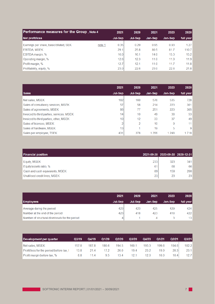| Performance measures for the Group, Note 4 |        | 2021    | 2020    | 2021    | 2020    | 2020      |
|--------------------------------------------|--------|---------|---------|---------|---------|-----------|
| Net profit/loss                            |        | Jul-Sep | Jul-Sep | Jan-Sep | Jan-Sep | full year |
| Earnings per share, basic/diluted, SEK     | note 1 | 0.35    | 0.29    | 0.95    | 0.93    | 1.27      |
| <b>EBITDA, MSEK</b>                        |        | 29.1    | 25.8    | 80.5    | 81.7    | 110.7     |
| EBITDA margin, %                           |        | 16.0    | 16.1    | 14.0    | 15.3    | 15.2      |
| Operating margin, %                        |        | 12.6    | 12.3    | 11.0    | 11.9    | 11.9      |
| Profit margin, %                           |        | 12.7    | 12.1    | 11.0    | 11.7    | 11.8      |
| Profitability, equity, %                   |        | 23.0    | 22.6    | 23.0    | 22.6    | 21.8      |

|                                           | 2021    | 2020          | 2021    | 2020    | 2020           |
|-------------------------------------------|---------|---------------|---------|---------|----------------|
| <b>Sales</b>                              | Jul-Sep | Jul-Sep       | Jan-Sep | Jan-Sep | full year      |
| Net sales, MSEK                           | 182     | 160           | 576     | 535     | 728            |
| Sales of consultancy services, MSEK       | 57      | 58            | 214     | 223     | 301            |
| Sales of agreements, MSEK                 | 86      | 77            | 251     | 223     | 305            |
| Invoiced to third parties, services, MSEK | 14      | 10            | 49      | 38      | 53             |
| Invoiced to third parties, other, MSEK    | 10      | 12            | 33      | 37      | 49             |
| Sales of licenses, MSEK                   |         | $\mathcal{P}$ | 10      | 9       | 11             |
| Sales of hardware, MSEK                   | 13      |               | 19      | 5       | $\overline{9}$ |
| Sales per employee, TSEK                  | 431     | 378           | 1 3 5 6 | 1 2 4 8 | 1718           |

| <b>Financial position</b>       |     | 2021-09-30 2020-09-30 2020-12-31 |     |
|---------------------------------|-----|----------------------------------|-----|
| Equity, MSEK                    | 233 | 323                              | 341 |
| Equity/assets ratio, %          | 61  | 68                               | 66  |
| Cash and cash equivalents, MSEK | 89  | 159                              | 200 |
| Unutilised credit lines, MSEK   | 23  | 23                               | 23  |

|                                                | 2021    | 2020    | 2021    | 2020    | 2020      |
|------------------------------------------------|---------|---------|---------|---------|-----------|
| <b>Employees</b>                               | Jul-Sep | Jul-Sep | Jan-Sep | Jan-Sep | full year |
| Average during the period                      | 423     | 423     | 425     | 429     | 424       |
| Number at the end of the period                | 423     | 418     | 423     | 418     | 422       |
| Number of structural dismissals for the period | 4       |         | ⊿       |         | 13        |

| Development per quarter                  | Q3/19 | Q4/19 | Q1/20 | Q2/20 | Q3/20 | Q4/20 | Q1/21 | Q2/21 | Q3/21 |
|------------------------------------------|-------|-------|-------|-------|-------|-------|-------|-------|-------|
| Net sales, MSEK                          | 157 0 | 1878  | 180.6 | 194.5 | 160.1 | 193.3 | 199.6 | 194.6 | 182.2 |
| Profit/loss for the period before tax, I | 13.8  | 214   | 17 2  | 26.0  | 19.4  | 23.2  | 19.9  | 20.3  | 23.1  |
| Profit margin before tax, %              | 8.8   | 11 4  | 9.5   | 134   | 12 1  | 12.0  | 10.0  | 10.4  | 12.7  |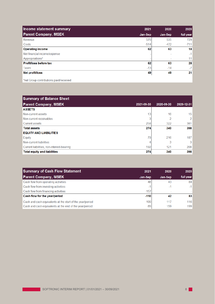| Income statement summary     | 2021    | 2020    | 2020      |
|------------------------------|---------|---------|-----------|
| <b>Parent Company, MSEK</b>  | Jan-Sep | Jan-Sep | full year |
| Revenue                      | 576     | 535     | 729       |
| Costs                        | $-514$  | $-472$  | $-711$    |
| <b>Operating income</b>      | 62      | 63      | 18        |
| Net financial income/expense |         |         | $-1$      |
| Appropriations*              |         |         | 11        |
| Profit/loss before tax       | 62      | 63      | 28        |
| Taxes                        | $-13$   | $-14$   | $-7$      |
| Net profit/loss              | 49      | 49      | 21        |
|                              |         |         |           |

\*net Group contributions paid/received

| <b>Summary of Balance Sheet</b>           |            |            |                |
|-------------------------------------------|------------|------------|----------------|
| <b>Parent Company, MSEK</b>               | 2021-09-30 | 2020-09-30 | 2020-12-31     |
| <b>ASSETS</b>                             |            |            |                |
| Non-current assets                        | 13         | 16         | 15             |
| Non-current receivables                   |            | 2          | $\overline{2}$ |
| <b>Current assets</b>                     | 258        | 322        | 381            |
| <b>Total assets</b>                       | 274        | 340        | 398            |
| <b>EQUITY AND LIABILITIES</b>             |            |            |                |
| Equity                                    | 78         | 216        | 187            |
| Non-current liabilities                   |            | 3          | 3 <sup>1</sup> |
| Current liabilities, non-interest-bearing | 192        | 121        | 208            |
| <b>Total equity and liabilities</b>       | 274        | 340        | 398            |

| <b>Summary of Cash Flow Statement</b>                                                                                | 2021      | 2020       | 2020            |
|----------------------------------------------------------------------------------------------------------------------|-----------|------------|-----------------|
| <b>Parent Company, MSEK</b>                                                                                          | Jan-Sep   | Jan-Sep    | full year       |
| Cash flow from operating activities                                                                                  | 48        | 43         | 84 <sup>°</sup> |
| Cash flow from investing activities                                                                                  | -         | $-1$       | $-1$            |
| Cash flow from financing activities                                                                                  | $-157$    |            |                 |
| Cash flow for the year/period                                                                                        | $-110$    | 42         | 83              |
| Cash and cash equivalents at the start of the year/period<br>Cash and cash equivalents at the end of the year/period | 199<br>89 | 117<br>159 | 116<br>199      |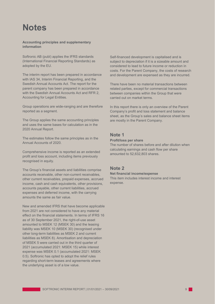## **Notes**

#### **Accounting principles and supplementary information**

Softronic AB (publ) applies the IFRS standards (International Financial Reporting Standards) as adopted by the EU.

The interim report has been prepared in accordance with IAS 34, Interim Financial Reporting, and the Swedish Annual Accounts Act. The report for the parent company has been prepared in accordance with the Swedish Annual Accounts Act and RFR 2, Accounting for Legal Entities.

Group operations are wide-ranging and are therefore reported as a segment.

The Group applies the same accounting principles and uses the same bases for calculation as in the 2020 Annual Report.

The estimates follow the same principles as in the Annual Accounts of 2020.

Comprehensive income is reported as an extended profit and loss account, including items previously recognised in equity.

The Group's financial assets and liabilities comprise accounts receivable, other non-current receivables, other current receivables, prepaid expenses, accrued income, cash and cash equivalents, other provisions, accounts payable, other current liabilities, accrued expenses and deferred income, with the carrying amounts the same as fair value.

New and amended IFRS that have become applicable from 2021 are not considered to have any material effect on the financial statements. In terms of IFRS 16 as of 30 September 2021, the right-of-use asset amounted to MSEK 12 (MSEK 30) and the leasing liability was MSEK 10 (MSEK 30) (recognised under other long-term liabilities as MSEK 2 and current liabilities as MSEK 8). Amortisation and depreciation of MSEK 5 were carried out in the third quarter of 2021 (accumulated 2021: MSEK 15) while interest expense was MSEK 0.1 (accumulated 2021: MSEK 0.5). Softronic has opted to adopt the relief rules regarding short-term leases and agreements where the underlying asset is of a low value.

Self-financed development is capitalised and is subject to depreciation if it is a sizeable amount and considered to lead to future income or reduction in costs. For the Parent Company, the costs of research and development are expensed as they are incurred.

There have been no material transactions between related parties, except for commercial transactions between companies within the Group that were carried out on market terms.

In this report there is only an overview of the Parent Company's profit and loss statement and balance sheet, as the Group's sales and balance sheet items are mostly in the Parent Company.

#### **Note 1**

#### **Profit/loss per share**

The number of shares before and after dilution when calculating earnings and cash flow per share amounted to 52,632,803 shares.

#### **Note 2**

#### **Net financial income/expense**

This item includes interest income and interest expense.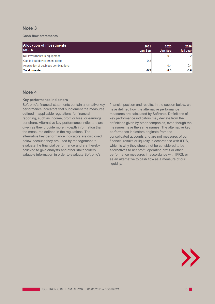## **Note 3**

#### **Cash flow statements**

| Allocation of investments<br><b>IMSEK</b> | 2021<br>Jan-Sep | 2020<br>Jan-Sep | 2020<br>full year |
|-------------------------------------------|-----------------|-----------------|-------------------|
| Net investments in equipment              |                 | $-0.2$          | $-0.2$            |
| Capitalised development costs             | $-0.3$          | -               |                   |
| Acquisition of business combinations      |                 | $-0.4$          | $-0.4$            |
| <b>Total invested</b>                     | $-0.3$          | $-0.6$          | $-0.6$            |

## **Note 4**

#### **Key performance indicators**

Softronic's financial statements contain alternative key performance indicators that supplement the measures defined in applicable regulations for financial reporting, such as income, profit or loss, or earnings per share. Alternative key performance indicators are given as they provide more in-depth information than the measures defined in the regulations. The alternative key performance indicators are disclosed below because they are used by management to evaluate the financial performance and are thereby believed to give analysts and other stakeholders valuable information in order to evaluate Softronic's

financial position and results. In the section below, we have defined how the alternative performance measures are calculated by Softronic. Definitions of key performance indicators may deviate from the definitions given by other companies, even though the measures have the same names. The alternative key performance indicators originate from the consolidated accounts and are not measures of our financial results or liquidity in accordance with IFRS, which is why they should not be considered to be alternatives to net profit, operating profit or other performance measures in accordance with IFRS, or as an alternative to cash flow as a measure of our liquidity.

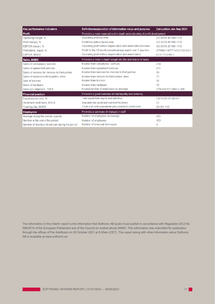| Key performance indicators                        | Definition/explanation of information value and purpose                  | <b>Calculation Jan-Sep 2021</b> |  |
|---------------------------------------------------|--------------------------------------------------------------------------|---------------------------------|--|
| <b>Profit</b>                                     | Provides a more nuanced and in-depth understanding of profit development |                                 |  |
| Operating margin, %                               | Operating profit/income                                                  | $(63.5/576.4)*100=11.0$         |  |
| Profit margin, %                                  | Profit/loss before tax/income                                            | $(63.3/576.4)*100=11.0$         |  |
| EBITDA margin, %                                  | Operating profit before depreciation and amortisation/income             | (80.5/576.4)*100=14.0           |  |
| Profitability, equity, %                          | Profit for the 12-month period/average equity over 5 quarters            | (67566/(1467710/5))*100=23.0    |  |
| <b>EBITDA, MSEK</b>                               | Operating profit before depreciation and amortisation                    | $63.5 + 17.0 = 80.5$            |  |
| <b>Sales, MSEK</b>                                | Provides a more in-depth insight into the distribution of sales          |                                 |  |
| Sales of consultancy services                     | Income from consultancy services                                         | 214                             |  |
| Sales of agreement services                       | Income from agreement services                                           | 251                             |  |
| Sales of services for invoices to third parties   | Income from services for invoices to third parties                       | 49                              |  |
| Sales of invoices to third parties, other         | Income from invoices to third parties, other                             | 33                              |  |
| Sale of licences                                  | Income from licences                                                     | 10                              |  |
| Sales of hardware                                 | Income from hardware                                                     | 19                              |  |
| Sales per employee, TSEK                          | Income/number of employees on average                                    | $(576.4/425)^*1,000=1,356$      |  |
| <b>Financial position</b>                         | Provides a good overview of total liquidity and solvency                 |                                 |  |
| Equity/assets ratio, %                            | Total equity/total equity and liabilities                                | 232.5/381.9*100=61              |  |
| Unutilised credit lines, MSEK                     | Available but unutilised overdraft facilities                            | 23                              |  |
| <b>Total liquidity, MSEK</b>                      | Cash and cash equivalents plus unutilised credit lines                   | $89+23=112$                     |  |
| <b>Employees</b>                                  | Provides a summary of changes in staff                                   |                                 |  |
| Average during the period, quantity               | Number of employees on average                                           | 425                             |  |
| Number at the end of the period                   | Number of employees                                                      | 423                             |  |
| Number of structural dismissals during the period | Number of structural dismissals                                          | 4                               |  |

The information in this interim report is the information that Softronic AB (publ) must publish in accordance with Regulation (EU) No 596/2014 of the European Parliament and of the Council on market abuse (MAR). This information was submitted for publication through the offices of Per Adolfsson on 20 October 2021 at 8.00am (CET). This report along with other information about Softronic AB is available at [www.softronic.se.](http://www.softronic.se/)